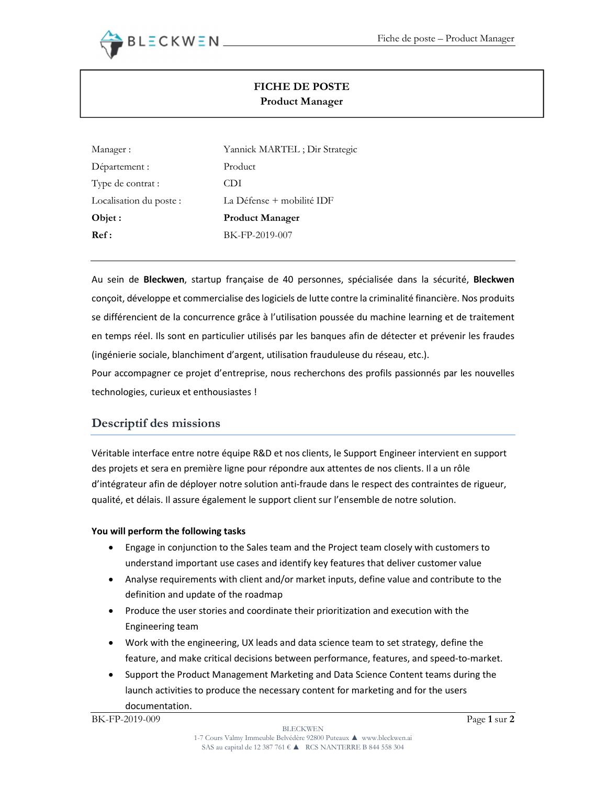

# FICHE DE POSTE Product Manager

| Manager :               | Yannick MARTEL; Dir Strategic |
|-------------------------|-------------------------------|
| Département :           | Product                       |
| Type de contrat :       | CDI                           |
| Localisation du poste : | La Défense + mobilité IDF     |
| Objet :                 | <b>Product Manager</b>        |
| Ref:                    | BK-FP-2019-007                |

Au sein de Bleckwen, startup française de 40 personnes, spécialisée dans la sécurité, Bleckwen conçoit, développe et commercialise des logiciels de lutte contre la criminalité financière. Nos produits se différencient de la concurrence grâce à l'utilisation poussée du machine learning et de traitement en temps réel. Ils sont en particulier utilisés par les banques afin de détecter et prévenir les fraudes (ingénierie sociale, blanchiment d'argent, utilisation frauduleuse du réseau, etc.).

Pour accompagner ce projet d'entreprise, nous recherchons des profils passionnés par les nouvelles technologies, curieux et enthousiastes !

## Descriptif des missions

Véritable interface entre notre équipe R&D et nos clients, le Support Engineer intervient en support des projets et sera en première ligne pour répondre aux attentes de nos clients. Il a un rôle d'intégrateur afin de déployer notre solution anti-fraude dans le respect des contraintes de rigueur, qualité, et délais. Il assure également le support client sur l'ensemble de notre solution.

### You will perform the following tasks

- Engage in conjunction to the Sales team and the Project team closely with customers to understand important use cases and identify key features that deliver customer value
- Analyse requirements with client and/or market inputs, define value and contribute to the definition and update of the roadmap
- Produce the user stories and coordinate their prioritization and execution with the Engineering team
- Work with the engineering, UX leads and data science team to set strategy, define the feature, and make critical decisions between performance, features, and speed-to-market.
- Support the Product Management Marketing and Data Science Content teams during the launch activities to produce the necessary content for marketing and for the users documentation.